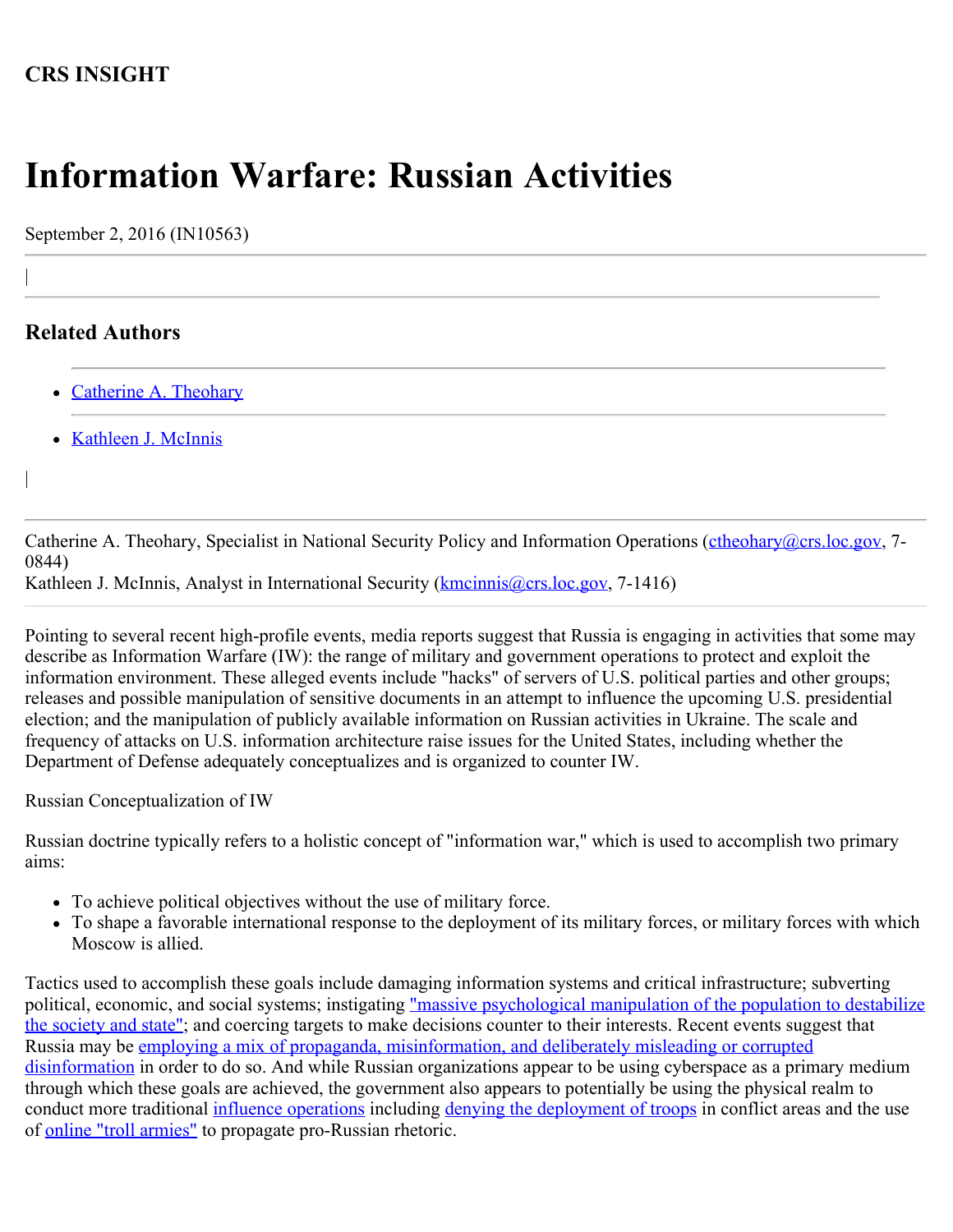## **CRS INSIGHT**

## **Information Warfare: Russian Activities**

September 2, 2016 (IN10563)

## **Related Authors**

|

|

- [Catherine A. Theohary](http://www.crs.gov/Author/index?id=101278)
- [Kathleen J. McInnis](http://www.crs.gov/Author/index?id=105037)

Catherine A. Theohary, Specialist in National Security Policy and Information Operations ([ctheohary@crs.loc.gov,](mailto:ctheohary@crs.loc.gov) 7-0844)

Kathleen J. McInnis, Analyst in International Security [\(kmcinnis@crs.loc.gov](mailto:kmcinnis@crs.loc.gov), 7-1416)

Pointing to several recent high-profile events, media reports suggest that Russia is engaging in activities that some may describe as Information Warfare (IW): the range of military and government operations to protect and exploit the information environment. These alleged events include "hacks" of servers of U.S. political parties and other groups; releases and possible manipulation of sensitive documents in an attempt to influence the upcoming U.S. presidential election; and the manipulation of publicly available information on Russian activities in Ukraine. The scale and frequency of attacks on U.S. information architecture raise issues for the United States, including whether the Department of Defense adequately conceptualizes and is organized to counter IW.

Russian Conceptualization of IW

Russian doctrine typically refers to a holistic concept of "information war," which is used to accomplish two primary aims:

- To achieve political objectives without the use of military force.
- To shape a favorable international response to the deployment of its military forces, or military forces with which Moscow is allied.

Tactics used to accomplish these goals include damaging information systems and critical infrastructure; subverting political, economic, and social systems; instigating ["massive psychological manipulation of the population to destabilize](http://eng.mil.ru/en/science/publications/more.htm?id=10845074@cmsArticle) [the society and state"](http://eng.mil.ru/en/science/publications/more.htm?id=10845074@cmsArticle); and coercing targets to make decisions counter to their interests. Recent events suggest that Russia may be [employing a mix of propaganda, misinformation, and deliberately misleading or corrupted](http://www.theatlantic.com/international/archive/2014/09/russia-putin-revolutionizing-information-warfare/379880/) [disinformation](http://www.theatlantic.com/international/archive/2014/09/russia-putin-revolutionizing-information-warfare/379880/) in order to do so. And while Russian organizations appear to be using cyberspace as a primary medium through which these goals are achieved, the government also appears to potentially be using the physical realm to conduct more traditional *influence operations* including [denying the deployment of troops](http://www.fpri.org/article/2016/03/how-why-and-when-russia-will-deploy-little-green-men-and-why-the-us-cannot/) in conflict areas and the use of [online "troll armies"](http://www.theatlantic.com/international/archive/2014/08/the-kremlins-troll-army/375932/) to propagate pro-Russian rhetoric.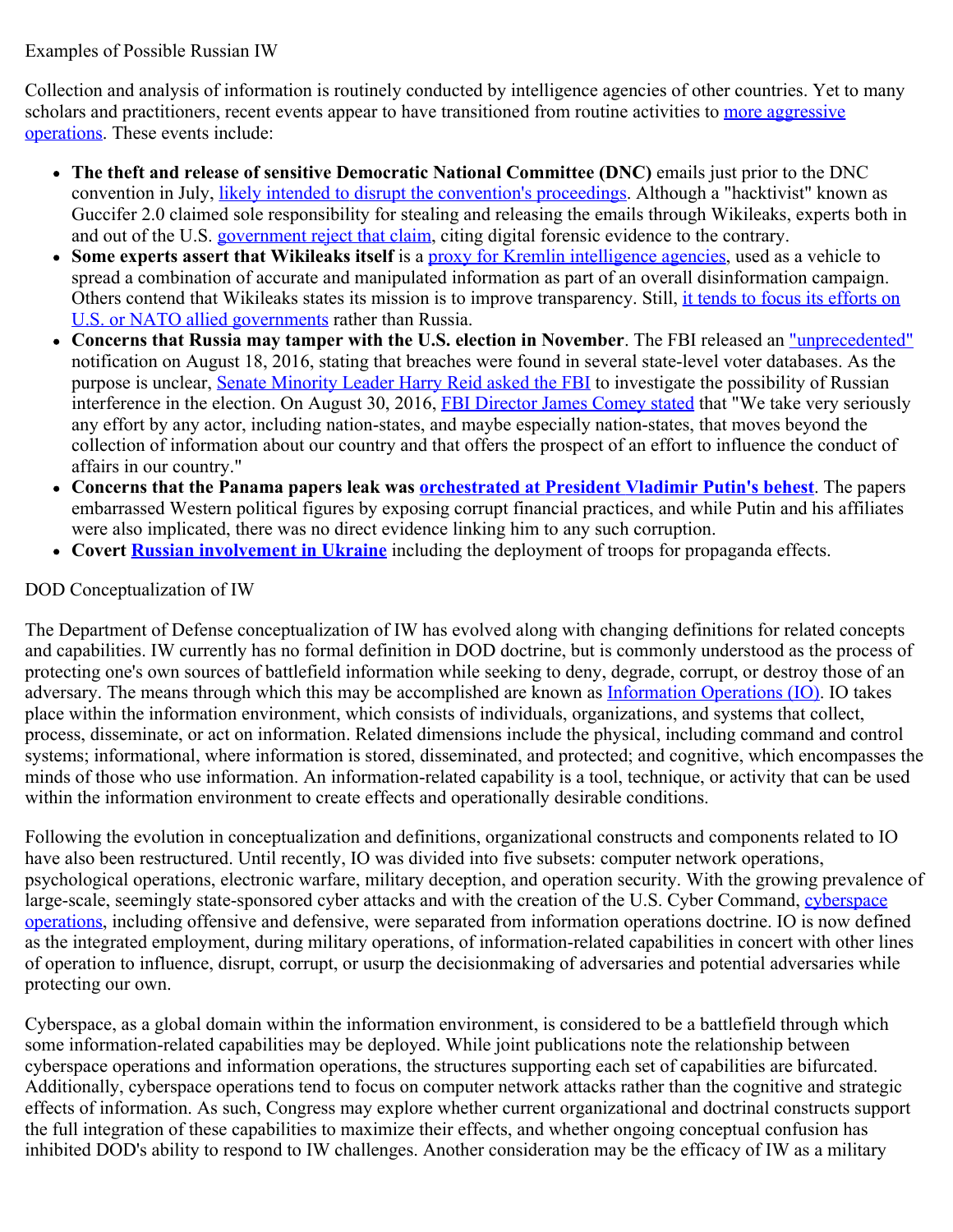Examples of Possible Russian IW

Collection and analysis of information is routinely conducted by intelligence agencies of other countries. Yet to many scholars and practitioners, recent events appear to have transitioned from routine activities to [more aggressive](http://www.realcleardefense.com/articles/2016/08/17/russia_is_winning_the_war_before_the_war_109715.html?utm_source=Sailthru&utm_medium=email&utm_campaign=Defense%20EBB%2008-22-16&utm_term=Editorial%20-%20Early%20Bird%20Brief) [operations.](http://www.realcleardefense.com/articles/2016/08/17/russia_is_winning_the_war_before_the_war_109715.html?utm_source=Sailthru&utm_medium=email&utm_campaign=Defense%20EBB%2008-22-16&utm_term=Editorial%20-%20Early%20Bird%20Brief) These events include:

- **The theft and release of sensitive Democratic National Committee (DNC)** emails just prior to the DNC convention in July, [likely](http://www.defenseone.com/technology/2016/07/how-putin-weaponized-wikileaks-influence-election-american-president/130163/) [intended to disrupt the convention's proceedings.](http://www.defenseone.com/technology/2016/07/how-putin-weaponized-wikileaks-influence-election-american-president/130163/) Although a "hacktivist" known as Guccifer 2.0 claimed sole responsibility for stealing and releasing the emails through Wikileaks, experts both in and out of the U.S. [government reject that claim](http://motherboard.vice.com/read/all-signs-point-to-russia-being-behind-the-dnc-hack), citing digital forensic evidence to the contrary.
- Some experts assert that Wikileaks itself is a **proxy** for Kremlin intelligence agencies, used as a vehicle to spread a combination of accurate and manipulated information as part of an overall disinformation campaign. Others contend that Wikileaks states its mission is to improve transparency. Still, [it tends to focus its efforts on](http://mobile.nytimes.com/2016/09/01/world/europe/wikileaks-julian-assange-russia.html?smprod=nytcore-ipad&smid=nytcore-ipad-share&referer=http://lm.facebook.com/lsr.php?u=http%3A%2F%2Fwww.nytimes.com%2F2016%2F09%2F01%2Fworld%2Feurope%2Fwikileaks-julian-assange-russia.html%3Fsmprod%3Dnytcore-ipad%26smid%3Dnytcore-ipad-share&ext=1472722597&hash=AcmaHZ9s9o1xKtWvFEU-N9aCYQMdl-6nWNmPTtiwCXqsRg&_rdr) [U.S. or NATO allied governments](http://mobile.nytimes.com/2016/09/01/world/europe/wikileaks-julian-assange-russia.html?smprod=nytcore-ipad&smid=nytcore-ipad-share&referer=http://lm.facebook.com/lsr.php?u=http%3A%2F%2Fwww.nytimes.com%2F2016%2F09%2F01%2Fworld%2Feurope%2Fwikileaks-julian-assange-russia.html%3Fsmprod%3Dnytcore-ipad%26smid%3Dnytcore-ipad-share&ext=1472722597&hash=AcmaHZ9s9o1xKtWvFEU-N9aCYQMdl-6nWNmPTtiwCXqsRg&_rdr) rather than Russia.
- **Concerns that Russia may tamper with the U.S. election in November**. The FBI released an ["unprecedented"](http://www.politico.com/story/2016/08/fbi-states-voting-systems-digital-assualt-227523) notification on August 18, 2016, stating that breaches were found in several state-level voter databases. As the purpose is unclear, [Senate Minority Leader Harry Reid asked the FBI](http://www.nytimes.com/2016/08/30/us/politics/harry-reid-russia-tampering-election-fbi.html?mtrref=undefined&_r=0) to investigate the possibility of Russian interference in the election. On August 30, 2016, [FBI Director James Comey stated](http://www.politico.com/story/2016/08/election-tampering-fbi-james-comey-227541) that "We take very seriously any effort by any actor, including nation-states, and maybe especially nation-states, that moves beyond the collection of information about our country and that offers the prospect of an effort to influence the conduct of affairs in our country."
- **Concerns that the Panama papers leak was [orchestrated at President Vladimir Putin's behest](https://www.brookings.edu/blog/order-from-chaos/2016/04/07/are-the-russians-actually-behind-the-panama-papers/)**. The papers embarrassed Western political figures by exposing corrupt financial practices, and while Putin and his affiliates were also implicated, there was no direct evidence linking him to any such corruption.
- **Covert [Russian involvement in Ukraine](http://www.atlanticcouncil.org/publications/reports/hiding-in-plain-sight-putin-s-war-in-ukraine-and-boris-nemtsov-s-putin-war)** including the deployment of troops for propaganda effects.

## DOD Conceptualization of IW

The Department of Defense conceptualization of IW has evolved along with changing definitions for related concepts and capabilities. IW currently has no formal definition in DOD doctrine, but is commonly understood as the process of protecting one's own sources of battlefield information while seeking to deny, degrade, corrupt, or destroy those of an adversary. The means through which this may be accomplished are known as [Information Operations \(IO\)](http://www.dtic.mil/doctrine/new_pubs/jp3_13.pdf). IO takes place within the information environment, which consists of individuals, organizations, and systems that collect, process, disseminate, or act on information. Related dimensions include the physical, including command and control systems; informational, where information is stored, disseminated, and protected; and cognitive, which encompasses the minds of those who use information. An information-related capability is a tool, technique, or activity that can be used within the information environment to create effects and operationally desirable conditions.

Following the evolution in conceptualization and definitions, organizational constructs and components related to IO have also been restructured. Until recently, IO was divided into five subsets: computer network operations, psychological operations, electronic warfare, military deception, and operation security. With the growing prevalence of large-scale, seemingly state-sponsored cyber attacks and with the creation of the U.S. Cyber Command, [cyberspace](http://www.dtic.mil/doctrine/new_pubs/jp3_12R.pdf) [operations,](http://www.dtic.mil/doctrine/new_pubs/jp3_12R.pdf) including offensive and defensive, were separated from information operations doctrine. IO is now defined as the integrated employment, during military operations, of information-related capabilities in concert with other lines of operation to influence, disrupt, corrupt, or usurp the decisionmaking of adversaries and potential adversaries while protecting our own.

Cyberspace, as a global domain within the information environment, is considered to be a battlefield through which some information-related capabilities may be deployed. While joint publications note the relationship between cyberspace operations and information operations, the structures supporting each set of capabilities are bifurcated. Additionally, cyberspace operations tend to focus on computer network attacks rather than the cognitive and strategic effects of information. As such, Congress may explore whether current organizational and doctrinal constructs support the full integration of these capabilities to maximize their effects, and whether ongoing conceptual confusion has inhibited DOD's ability to respond to IW challenges. Another consideration may be the efficacy of IW as a military